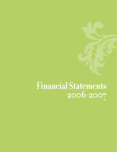# **Financial Statements 2006-2007**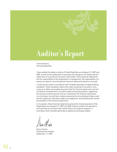# **Auditor's Report**

To the directors of Fonds RadioStar

I have audited the balance sheets of Fonds RadioStar as at August 31, 2007 and 2006, as well as the statements of earnings and changes in net assets and the statements of cash flow for the years then ended. These financial statements are the responsibility of the Organization's management. My responsibility is to express an opinion concerning these financial statements based on my audit.

I conducted my audit in accordance with Canadian generally accepted auditing standards. These standards require that I plan and perform an audit in such a way as to obtain reasonable assurance that the financial statements are free of material misstatements. An audit involves examining evidence supporting the amounts and disclosures that are contained in the financial statements, on a test basis. An audit also involves assessing the accounting principles used and the significant estimates made by management, and evaluating the overall presentation of the financial statements.

In my opinion, these financial statements present the financial position of the Organization as at August 31, 2007 and 2006 and the results of its operations and cash flow for the years then ended fairly in all material respects, in accordance with Canadian generally accepted accounting principles.

Denis Thérien Chartered Accountant September 11, 2007

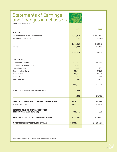### Statements of Earnings and Changes in net assets



For the years ended august 31

|                                                | 2007        | 2006        |
|------------------------------------------------|-------------|-------------|
| <b>REVENUE</b>                                 |             |             |
| Contributions from radio broadcasters          | \$2,863,343 | \$2,426,942 |
| Management fees - CAB                          | (21, 200)   | (20,600)    |
|                                                |             |             |
|                                                | 2,842,143   | 2,406,342   |
| Interest                                       | 218,080     | 170,975     |
|                                                |             |             |
|                                                | 3,060,223   | 2,577,317   |
|                                                |             |             |
| <b>EXPENDITURES</b>                            |             |             |
| Salaries and benefits                          | 177,278     | 157,984     |
| Legal and management fees                      | 39,352      |             |
| Professional fees                              | 11,047      | 9,262       |
| Rent and other charges                         | 39,883      | 37,628      |
| Communications                                 | 51,785      | 33,828      |
| Insurance                                      | 2,536       | 2,540       |
| Meeting expenses                               | 5,781       | 4,690       |
|                                                |             |             |
|                                                | 327,662     | 245,932     |
|                                                |             |             |
| Write-off of sales taxes from previous years   | 58,390      |             |
|                                                | 386,052     | 245,932     |
|                                                |             |             |
| SURPLUS AVAILABLE FOR ASSISTANCE CONTRIBUTIONS | 2,674,171   | 2,331,385   |
| Assistance contributions                       | 2,827,781   | 2,316,105   |
|                                                |             |             |
| <b>EXCESS OF REVENUE OVER EXPENDITURES</b>     |             |             |
| (EXPENDITURES OVER REVENUE)                    | (153,610)   | 15,280      |
| UNRESTRICTED NET ASSETS, BEGINNING OF YEAR     | 4,206,761   | 4,191,481   |
|                                                |             |             |
| UNRESTRICTED NET ASSETS, END OF YEAR           | \$4,053,151 | \$4,206,761 |
|                                                |             |             |

The accompanying notes are an integral part of these financial statements.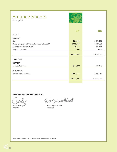# Balance Sheets

As at august 31



|                                                | 2007        |             |
|------------------------------------------------|-------------|-------------|
|                                                |             | 2006        |
| <b>ASSETS</b>                                  |             |             |
| <b>CURRENT</b>                                 |             |             |
| Cash                                           | \$24,055    | \$420,938   |
| Demand deposit, 4.34 %. maturing June 26, 2008 | 4,000,000   | 3,700,000   |
| Accounts receivable (Note 4)                   | 39,369      | 101,539     |
| Prepaid expenses                               | 1,797       | 1,624       |
|                                                | \$4,065,221 | \$4,224,101 |
| <b>LIABILITIES</b>                             |             |             |
| <b>CURRENT</b>                                 |             |             |
| <b>Accrued liabilities</b>                     | \$12,070    | \$17,340    |
| <b>NET ASSETS</b>                              |             |             |
| Unrestricted net assets                        | 4,053,151   | 4,206,761   |
|                                                | \$4,065,221 | \$4,224,101 |
|                                                |             |             |

#### **APPROVED ON BEHALF OF THE BOARD**

Paul Dutant Helent

Pierre Rodrigue **Paul Dupont-Hébert**<br>President President President Treasurer

The accompanying notes are an integral part of these financial statements.

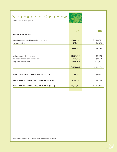# Statements of Cash Flow

For the years ended august 31



|                                                  | 2007          | 2006        |
|--------------------------------------------------|---------------|-------------|
| <b>OPERATING ACTIVITIES</b>                      |               |             |
|                                                  |               |             |
| Contributions received from radio broadcasters   | \$2,842,143   | \$2,406,342 |
| Interest received                                | 215,860       | 145,395     |
|                                                  |               |             |
|                                                  | 3,058,003     | 2,551,737   |
|                                                  |               |             |
|                                                  |               |             |
| Assistance contributions paid                    | (2,821,781)   | (2,329,470) |
| Purchase of goods and services paid              | (147, 854)    | (98, 837)   |
| Employee salaries paid                           | (185, 251)    | (151, 866)  |
|                                                  |               |             |
|                                                  | (3, 154, 886) | (2,580,173) |
|                                                  |               |             |
|                                                  |               |             |
| <b>NET DECREASE IN CASH AND CASH EQUIVALENTS</b> | (96, 883)     | (28, 436)   |
|                                                  |               |             |
| CASH AND CASH EQUIVALENTS, BEGINNING OF YEAR     | 4,120,938     | 4,149,374   |
|                                                  |               |             |
| CASH AND CASH EQUIVALENTS, END OF YEAR (Note 5)  | \$4,024,055   | \$4,120,938 |
|                                                  |               |             |

The accompanying notes are an integral part of these financial statements.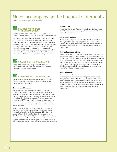## Notes accompanying the financial statements

For the years ended august 31, 2007 and 2006

### 1 **STATUTES AND PURPOSE OF THE ORGANIZATION**

Fonds RadioStar was incorporated on February 16, 2001 pursuant to Part II of the Canada Business Corporations Act.

The primary mandate of Fonds RadioStar, which is a nonprofit organization, is to assist promising new talent by providing significant financial support for projects involving the promotion of recording companies that are likely to have a considerable impact on the careers of French-Canadian artists. The support that the Organization provides is complementary to existing assistance programs, and adds momentum to marketing efforts. Fonds RadioStar pays nonrefundable contributions to eligible recording companies.



#### 2 **FINANCING OF THE ORGANIZATION**

Fonds RadioStar products are generated by financial contributions from broadcast companies to the Canadian Association of Broadcasters (CAB).



### 3 **SIGNIFICANT ACCOUNTING POLICIES**

The financial statements were prepared in accordance with Canadian generally accepted accounting principles and the following significant policies:

#### **Recognition of Revenue**

Fonds RadioStar uses the deferral method for recording its contributions. Contributions to Fonds RadioStar and its Anglophone counterpart, Radio Starmaker Fund, originate from financial contributions that are required of broadcast companies by the Canadian Radio-television and Telecommunications Commission (CRTC) in connection with transactions involving the acquisition of broadcast companies. A minimum of 3% of these transactions must be paid to the two new Canadian music marketing funds.

Generally speaking, for transactions involving Francophone stations, 80% of the 3% is paid to Fonds RadioStar; and for transactions involving Anglophone stations, 20% of the 3% is paid to Fonds RadioStar. The Canadian Association of Broadcasters (CAB) collects 3% of the value of the transactions, which it redistributes to the two funds in accordance with the payment terms that are approved by the CRTC. These financial contributions are reported using a cash-based accounting system.

#### **Income Taxes**

Pursuant to the Income Tax Acts of Canada and Quebec, Fonds RadioStar is classified as a non-profit organization, and therefore, is not subject to income tax.

#### **Contributed Services**

Members of the Organization's Board of Directors attend Board meetings without monetary compensation. The value of the time donated by these individuals is not recorded in the financial statements, because it would be difficult to measure its fair market value.

#### **Cash and cash equivalents**

For cash flow purposes, cash and cash equivalents include cash and cash equivalents that are not restricted as to their use. Cash includes cash. Cash equivalents include term or demand deposits investments that are held for short-term cash requirements, but not those that are held for investment purposes. More precisely, they include investments for which the value will not change significantly and for which the maturity does not exceed three months from the date of acquisition.

#### **Use of estimates**

The presentation of the financial statements in accordance with Canadian generally accepted accounting principles requires management to make estimates and assumptions that affect the reported amounts of assets and liabilities, the disclosure of contingencies at the date of the financial statements, and the reported amounts of revenues and expenses during the reporting period. Actual results may differ from those estimates and assumptions.